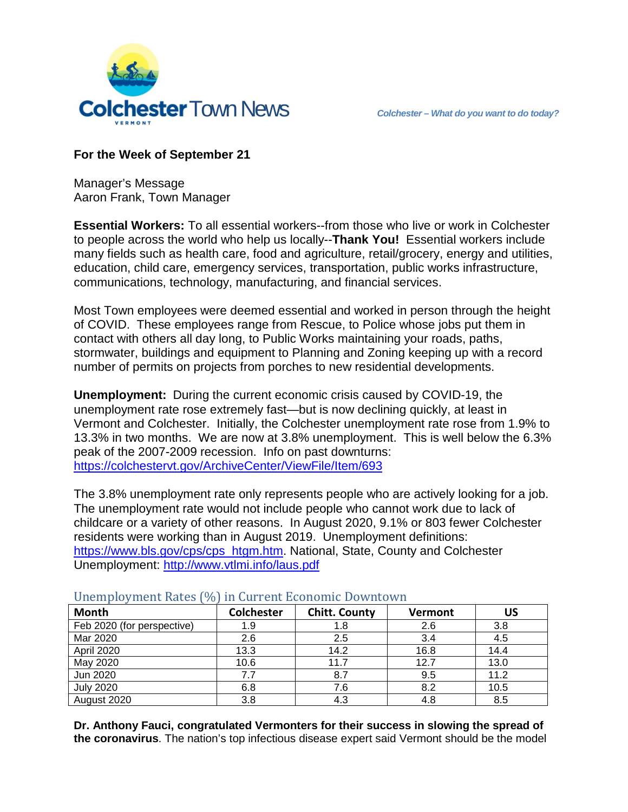

## **For the Week of September 21**

Manager's Message Aaron Frank, Town Manager

**Essential Workers:** To all essential workers--from those who live or work in Colchester to people across the world who help us locally--**Thank You!** Essential workers include many fields such as health care, food and agriculture, retail/grocery, energy and utilities, education, child care, emergency services, transportation, public works infrastructure, communications, technology, manufacturing, and financial services.

Most Town employees were deemed essential and worked in person through the height of COVID. These employees range from Rescue, to Police whose jobs put them in contact with others all day long, to Public Works maintaining your roads, paths, stormwater, buildings and equipment to Planning and Zoning keeping up with a record number of permits on projects from porches to new residential developments.

**Unemployment:** During the current economic crisis caused by COVID-19, the unemployment rate rose extremely fast—but is now declining quickly, at least in Vermont and Colchester. Initially, the Colchester unemployment rate rose from 1.9% to 13.3% in two months. We are now at 3.8% unemployment. This is well below the 6.3% peak of the 2007-2009 recession. Info on past downturns: <https://colchestervt.gov/ArchiveCenter/ViewFile/Item/693>

The 3.8% unemployment rate only represents people who are actively looking for a job. The unemployment rate would not include people who cannot work due to lack of childcare or a variety of other reasons. In August 2020, 9.1% or 803 fewer Colchester residents were working than in August 2019. Unemployment definitions: [https://www.bls.gov/cps/cps\\_htgm.htm.](https://www.bls.gov/cps/cps_htgm.htm) National, State, County and Colchester Unemployment:<http://www.vtlmi.info/laus.pdf>

| Month                      | <b>Colchester</b> | <b>Chitt. County</b> | <b>Vermont</b> | US   |
|----------------------------|-------------------|----------------------|----------------|------|
| Feb 2020 (for perspective) | 1.9               | 1.8                  | 2.6            | 3.8  |
| Mar 2020                   | 2.6               | 2.5                  | 3.4            | 4.5  |
| April 2020                 | 13.3              | 14.2                 | 16.8           | 14.4 |
| May 2020                   | 10.6              | 11.7                 | 12.7           | 13.0 |
| Jun 2020                   | 7.7               | 8.7                  | 9.5            | 11.2 |
| <b>July 2020</b>           | 6.8               | 7.6                  | 8.2            | 10.5 |
| August 2020                | 3.8               | 4.3                  | 4.8            | 8.5  |

Unemployment Rates (%) in Current Economic Downtown

**Dr. Anthony Fauci, congratulated Vermonters for their success in slowing the spread of the coronavirus**. The nation's top infectious disease expert said Vermont should be the model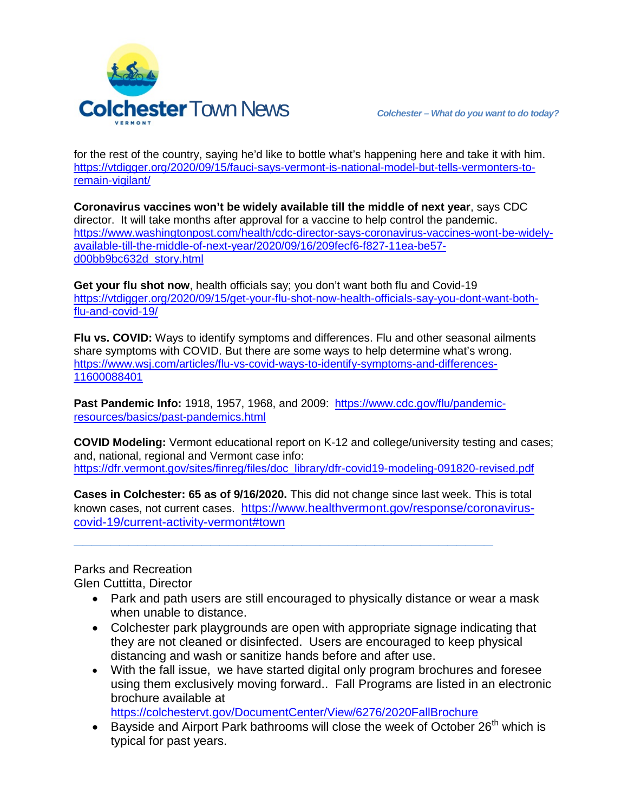

for the rest of the country, saying he'd like to bottle what's happening here and take it with him. [https://vtdigger.org/2020/09/15/fauci-says-vermont-is-national-model-but-tells-vermonters-to](https://vtdigger.org/2020/09/15/fauci-says-vermont-is-national-model-but-tells-vermonters-to-remain-vigilant/)[remain-vigilant/](https://vtdigger.org/2020/09/15/fauci-says-vermont-is-national-model-but-tells-vermonters-to-remain-vigilant/)

**Coronavirus vaccines won't be widely available till the middle of next year**, says CDC director. It will take months after approval for a vaccine to help control the pandemic. https://www.washingtonpost.com/health/cdc-director-says-coronavirus-vaccines-wont-be-widelyavailable-till-the-middle-of-next-year/2020/09/16/209fecf6-f827-11ea-be57 d00bb9bc632d\_story.html

**Get your flu shot now**, health officials say; you don't want both flu and Covid-19 [https://vtdigger.org/2020/09/15/get-your-flu-shot-now-health-officials-say-you-dont-want-both](https://vtdigger.org/2020/09/15/get-your-flu-shot-now-health-officials-say-you-dont-want-both-flu-and-covid-19/)[flu-and-covid-19/](https://vtdigger.org/2020/09/15/get-your-flu-shot-now-health-officials-say-you-dont-want-both-flu-and-covid-19/)

**Flu vs. COVID:** Ways to identify symptoms and differences. Flu and other seasonal ailments share symptoms with COVID. But there are some ways to help determine what's wrong. [https://www.wsj.com/articles/flu-vs-covid-ways-to-identify-symptoms-and-differences-](https://www.wsj.com/articles/flu-vs-covid-ways-to-identify-symptoms-and-differences-11600088401)[11600088401](https://www.wsj.com/articles/flu-vs-covid-ways-to-identify-symptoms-and-differences-11600088401)

**Past Pandemic Info:** 1918, 1957, 1968, and 2009: [https://www.cdc.gov/flu/pandemic](https://www.cdc.gov/flu/pandemic-resources/basics/past-pandemics.html)[resources/basics/past-pandemics.html](https://www.cdc.gov/flu/pandemic-resources/basics/past-pandemics.html)

**COVID Modeling:** Vermont educational report on K-12 and college/university testing and cases; and, national, regional and Vermont case info: [https://dfr.vermont.gov/sites/finreg/files/doc\\_library/dfr-covid19-modeling-091820-revised.pdf](https://dfr.vermont.gov/sites/finreg/files/doc_library/dfr-covid19-modeling-091820-revised.pdf)

**Cases in Colchester: 65 as of 9/16/2020.** This did not change since last week. This is total known cases, not current cases. [https://www.healthvermont.gov/response/coronavirus](https://www.healthvermont.gov/response/coronavirus-covid-19/current-activity-vermont#town)[covid-19/current-activity-vermont#town](https://www.healthvermont.gov/response/coronavirus-covid-19/current-activity-vermont#town)

**\_\_\_\_\_\_\_\_\_\_\_\_\_\_\_\_\_\_\_\_\_\_\_\_\_\_\_\_\_\_\_\_\_\_\_\_\_\_\_\_\_\_\_\_\_\_**

Parks and Recreation

Glen Cuttitta, Director

- Park and path users are still encouraged to physically distance or wear a mask when unable to distance.
- Colchester park playgrounds are open with appropriate signage indicating that they are not cleaned or disinfected. Users are encouraged to keep physical distancing and wash or sanitize hands before and after use.
- With the fall issue, we have started digital only program brochures and foresee using them exclusively moving forward.. Fall Programs are listed in an electronic brochure available at

<https://colchestervt.gov/DocumentCenter/View/6276/2020FallBrochure>

• Bayside and Airport Park bathrooms will close the week of October  $26<sup>th</sup>$  which is typical for past years.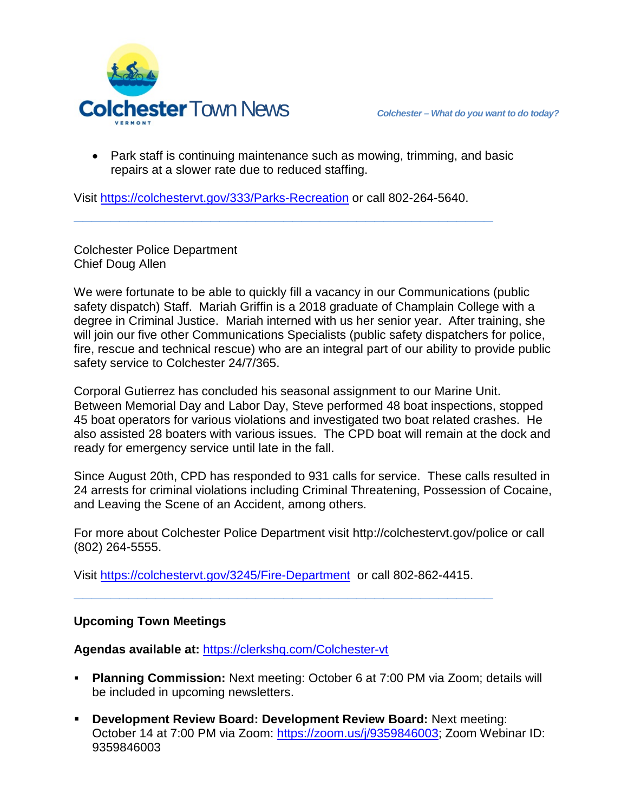

• Park staff is continuing maintenance such as mowing, trimming, and basic repairs at a slower rate due to reduced staffing.

Visit<https://colchestervt.gov/333/Parks-Recreation> or call 802-264-5640.

**\_\_\_\_\_\_\_\_\_\_\_\_\_\_\_\_\_\_\_\_\_\_\_\_\_\_\_\_\_\_\_\_\_\_\_\_\_\_\_\_\_\_\_\_\_\_**

Colchester Police Department Chief Doug Allen

We were fortunate to be able to quickly fill a vacancy in our Communications (public safety dispatch) Staff. Mariah Griffin is a 2018 graduate of Champlain College with a degree in Criminal Justice. Mariah interned with us her senior year. After training, she will join our five other Communications Specialists (public safety dispatchers for police, fire, rescue and technical rescue) who are an integral part of our ability to provide public safety service to Colchester 24/7/365.

Corporal Gutierrez has concluded his seasonal assignment to our Marine Unit. Between Memorial Day and Labor Day, Steve performed 48 boat inspections, stopped 45 boat operators for various violations and investigated two boat related crashes. He also assisted 28 boaters with various issues. The CPD boat will remain at the dock and ready for emergency service until late in the fall.

Since August 20th, CPD has responded to 931 calls for service. These calls resulted in 24 arrests for criminal violations including Criminal Threatening, Possession of Cocaine, and Leaving the Scene of an Accident, among others.

For more about Colchester Police Department visit http://colchestervt.gov/police or call (802) 264-5555.

Visit<https://colchestervt.gov/3245/Fire-Department> or call 802-862-4415.

**\_\_\_\_\_\_\_\_\_\_\_\_\_\_\_\_\_\_\_\_\_\_\_\_\_\_\_\_\_\_\_\_\_\_\_\_\_\_\_\_\_\_\_\_\_\_**

## **Upcoming Town Meetings**

**Agendas available at:** <https://clerkshq.com/Colchester-vt>

- **Planning Commission:** Next meeting: October 6 at 7:00 PM via Zoom; details will be included in upcoming newsletters.
- **Development Review Board: Development Review Board:** Next meeting: October 14 at 7:00 PM via Zoom: [https://zoom.us/j/9359846003;](https://zoom.us/j/9359846003) Zoom Webinar ID: 9359846003